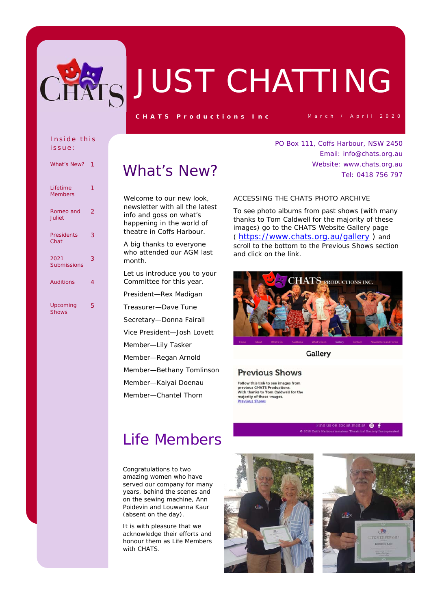

## JUST CHATTING

**CHATS Productions Inc** March / April 2020

Email: info@chats.org.au Website: www.chats.org.au

Tel: 0418 756 797

PO Box 111, Coffs Harbour, NSW 2450

#### Inside this issue:

| <b>What's New?</b>         | 1 |
|----------------------------|---|
| Lifetime<br><b>Members</b> | 1 |
| Romeo and<br>Juliet        | 2 |
| <b>Presidents</b><br>Chat  | 3 |
| 2021<br><b>Submissions</b> | 3 |
| <b>Auditions</b>           | 4 |
| Upcoming<br><b>Shows</b>   | 5 |

### What's New?

Welcome to our new look. newsletter with all the latest info and goss on what's happening in the world of theatre in Coffs Harbour.

A big thanks to everyone who attended our AGM last month.

Let us introduce you to your Committee for this year.

President—Rex Madigan

Treasurer—Dave Tune

Secretary—Donna Fairall

Vice President—Josh Lovett

Member—Lily Tasker

Member—Regan Arnold

Member—Bethany Tomlinson

Member—Kaiyai Doenau

Member—Chantel Thorn

ACCESSING THE CHATS PHOTO ARCHIVE

To see photo albums from past shows (with many thanks to Tom Caldwell for the majority of these images) go to the CHATS Website Gallery page ( https://www.chats.org.au/gallery ) and scroll to the bottom to the Previous Shows section and click on the link.



Gallery

### **Previous Shows**

Follow this link to see images from previous CHATS Productions.<br>With thanks to Tom Caldwell for the majority of these images. **Previous Shows** 

### Life Members

Congratulations to two amazing women who have served our company for many years, behind the scenes and on the sewing machine, Ann Poidevin and Louwanna Kaur (absent on the day).

It is with pleasure that we acknowledge their efforts and honour them as Life Members with CHATS.





 $\bullet$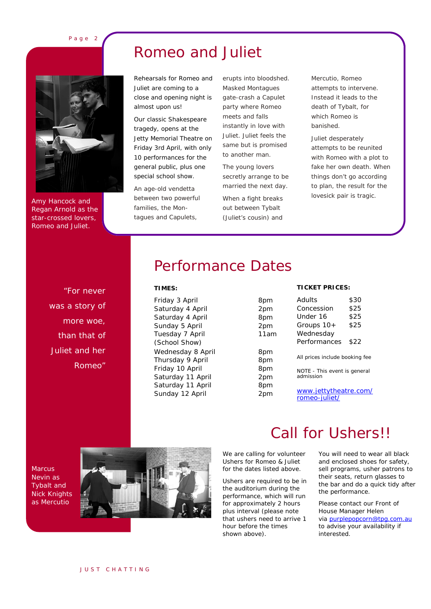Page 2

Amy Hancock and Regan Arnold as the star-crossed lovers, Romeo and Juliet.

### Romeo and Juliet

Rehearsals for Romeo and Juliet are coming to a close and opening night is almost upon us!

Our classic Shakespeare tragedy, opens at the Jetty Memorial Theatre on Friday 3rd April, with only 10 performances for the general public, plus one special school show.

An age-old vendetta between two powerful families, the Montagues and Capulets,

erupts into bloodshed. Masked Montagues gate-crash a Capulet party where Romeo meets and falls instantly in love with Juliet. Juliet feels the same but is promised to another man.

The young lovers secretly arrange to be married the next day.

When a fight breaks out between Tybalt (Juliet's cousin) and

Mercutio, Romeo attempts to intervene. Instead it leads to the death of Tybalt, for which Romeo is banished.

Juliet desperately attempts to be reunited with Romeo with a plot to fake her own death. When things don't go according to plan, the result for the lovesick pair is tragic.

"For never was a story of more woe, than that of Juliet and her Romeo"

### Performance Dates

### **TIMES:**

Friday 3 April Saturday 4 April Saturday 4 April Sunday 5 April Tuesday 7 April *(School Show)*  Wednesday 8 April Thursday 9 April Friday 10 April Saturday 11 April Saturday 11 April Sunday 12 April 2pm

| 8pm  |
|------|
| 2pm  |
| 8pm  |
| 2pm  |
| 11am |
|      |
| 8pm  |
| 8pm  |
| 8pm  |
| 2pm  |
| 8pm  |
|      |

#### **TICKET PRICES:**

| Adults                                    | \$30 |
|-------------------------------------------|------|
| Concession                                | \$25 |
| Under 16                                  | \$25 |
| Groups $10+$                              | \$25 |
| Wednesday                                 |      |
| Performances                              | \$22 |
| All prices include booking fee            |      |
| NOTE - This event is general<br>admission |      |

www.jettytheatre.com/ romeo-juliet/

**Marcus** Nevin as Tybalt and Nick Knights as Mercutio



We are calling for volunteer Ushers for Romeo & Juliet for the dates listed above.

Ushers are required to be in the auditorium during the performance, which will run for approximately 2 hours plus interval (please note that ushers need to arrive 1 hour before the times shown above).

### Call for Ushers!!

You will need to wear all black and enclosed shoes for safety, sell programs, usher patrons to their seats, return glasses to the bar and do a quick tidy after the performance.

Please contact our Front of House Manager Helen via purplepopcorn@tpg.com.au to advise your availability if interested.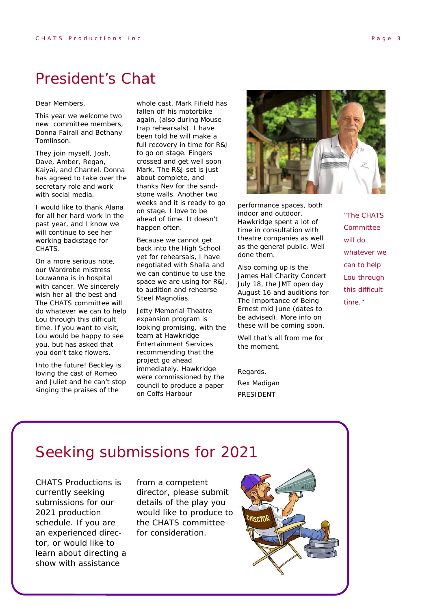### President's Chat

Dear Members,

This year we welcome two new committee members, Donna Fairall and Bethany Tomlinson.

They join myself, Josh, Dave, Amber, Regan, Kaiyai, and Chantel. Donna has agreed to take over the secretary role and work with social media.

I would like to thank Alana for all her hard work in the past year, and I know we will continue to see her working backstage for CHATS.

On a more serious note, our Wardrobe mistress Louwanna is in hospital with cancer. We sincerely wish her all the best and The CHATS committee will do whatever we can to help Lou through this difficult time. If you want to visit, Lou would be happy to see you, but has asked that you don't take flowers.

Into the future! Beckley is loving the cast of Romeo and Juliet and he can't stop singing the praises of the

whole cast. Mark Fifield has fallen off his motorbike again, (also during Mousetrap rehearsals). I have been told he will make a full recovery in time for R&J to go on stage. Fingers crossed and get well soon Mark. The R&J set is just about complete, and thanks Nev for the sandstone walls. Another two weeks and it is ready to go on stage. I love to be ahead of time. It doesn't happen often.

Because we cannot get back into the High School yet for rehearsals, I have negotiated with Shalla and we can continue to use the space we are using for R&J, to audition and rehearse Steel Magnolias.

Jetty Memorial Theatre expansion program is looking promising, with the team at Hawkridge Entertainment Services recommending that the project go ahead immediately. Hawkridge were commissioned by the council to produce a paper on Coffs Harbour



performance spaces, both indoor and outdoor. Hawkridge spent a lot of time in consultation with theatre companies as well as the general public. Well done them.

Also coming up is the James Hall Charity Concert July 18, the JMT open day August 16 and auditions for The Importance of Being Ernest mid June (dates to be advised). More info on these will be coming soon.

Well that's all from me for the moment.

Regards, Rex Madigan *PRESIDENT* 

"The CHATS **Committee** will do whatever we can to help Lou through this difficult time."

### Seeking submissions for 2021

CHATS Productions is currently seeking submissions for our 2021 production schedule. If you are an experienced director, or would like to learn about directing a show with assistance

from a competent director, please submit details of the play you would like to produce to the CHATS committee for consideration.

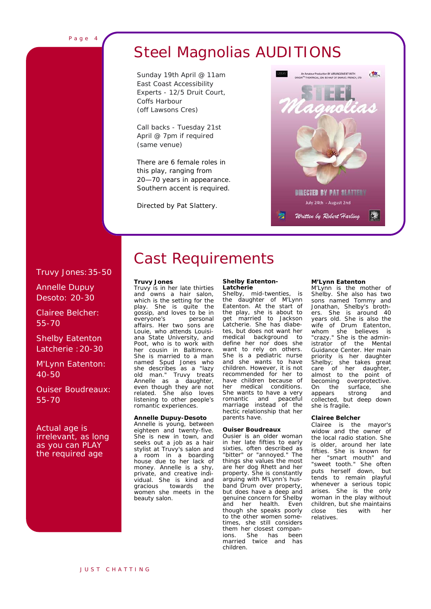### Steel Magnolias AUDITIONS

Sunday 19th April @ 11am East Coast Accessibility Experts - 12/5 Druit Court, Coffs Harbour (off Lawsons Cres)

Call backs - Tuesday 21st April @ 7pm if required (same venue)

There are 6 female roles in this play, ranging from 20—70 years in appearance. Southern accent is required.

Directed by Pat Slattery.



### Truvy Jones:35-50

Annelle Dupuy Desoto: 20-30

Clairee Belcher: 55-70

Shelby Eatenton Latcherie :20-30

M'Lynn Eatenton: 40-50

Ouiser Boudreaux: 55-70

Actual age is irrelevant, as long as you can PLAY the required age

## Cast Requirements

#### **Truvy Jones**

Truvy is in her late thirties and owns a hair salon, which is the setting for the play. She is quite the gossip, and loves to be in<br>everyone's personal everyone's affairs. Her two sons are Louie, who attends Louisiana State University, and Poot, who is to work with her cousin in Baltimore. She is married to a man named Spud Jones who she describes as a "lazy old man." Truvy treats Annelle as a daughter, even though they are not related. She also loves listening to other people's romantic experiences.

#### **Annelle Dupuy-Desoto**

Annelle is young, between eighteen and twenty-five. She is new in town, and seeks out a job as a hair stylist at Truvy's salon and a room in a boarding house due to her lack of money. Annelle is a shy, private, and creative individual. She is kind and<br>gracious towards the gracious towards the women she meets in the beauty salon.

#### **Shelby Eatenton-Latcherie**

Shelby, mid-twenties, is the daughter of M'Lynn Eatenton. At the start of the play, she is about to<br>get married to Jackson married to Jackson Latcherie. She has diabetes, but does not want her<br>medical background to medical background define her nor does she want to rely on others. She is a pediatric nurse and she wants to have children. However, it is not recommended for her to have children because of her medical conditions. She wants to have a very romantic and peaceful marriage instead of the hectic relationship that her parents have.

#### **Ouiser Boudreaux**

Ousier is an older woman in her late fifties to early sixties, often described as "bitter" or "annoyed." The things she values the most are her dog Rhett and her property. She is constantly arguing with M'Lynn's husband Drum over property, but does have a deep and genuine concern for Shelby and her health. Even though she speaks poorly to the other women sometimes, she still considers them her closest companions. She has been married twice and has children.

#### **M'Lynn Eatenton**

M'Lynn is the mother of Shelby. She also has two sons named Tommy and Jonathan, Shelby's brothers. She is around 40 years old. She is also the wife of Drum Eatenton, whom she believes is "crazy." She is the administrator of the Mental Guidance Center. Her main priority is her daughter Shelby; she takes great care of her daughter, almost to the point of becoming overprotective.<br>On the surface, she On the surface, she<br>appears strong and appears collected, but deep down she is fragile.

#### **Clairee Belcher**

Clairee is the mayor's widow and the owner of the local radio station. She is older, around her late fifties. She is known for her "smart mouth" and "sweet tooth." She often puts herself down, but tends to remain playful whenever a serious topic arises. She is the only woman in the play without children, but she maintains close ties with her relatives.